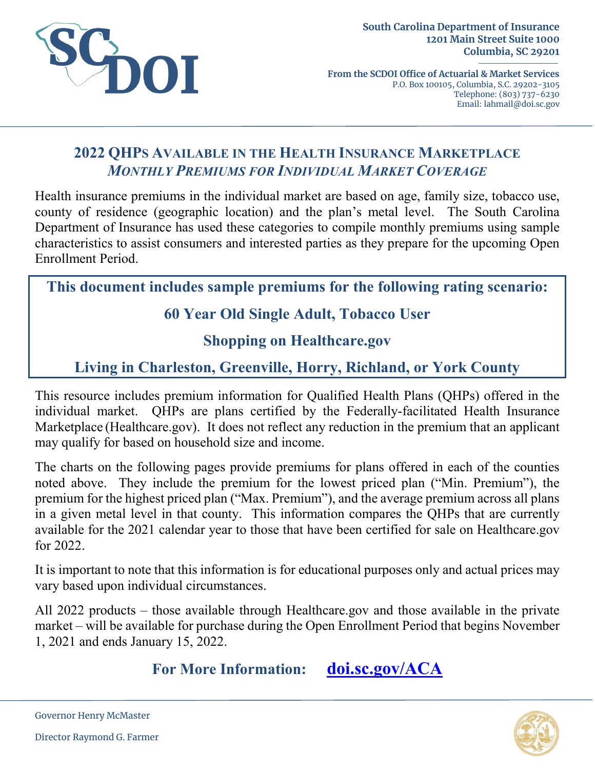

**From the SCDOI Office of Actuarial & Market Services** P.O. Box 100105, Columbia, S.C. 29202-3105 Telephone: (803) 737-6230 Email: lahmail@doi.sc.gov

# **2022 QHPS AVAILABLE IN THE HEALTH INSURANCE MARKETPLACE** *MONTHLY PREMIUMS FOR INDIVIDUAL MARKET COVERAGE*

Health insurance premiums in the individual market are based on age, family size, tobacco use, county of residence (geographic location) and the plan's metal level. The South Carolina Department of Insurance has used these categories to compile monthly premiums using sample characteristics to assist consumers and interested parties as they prepare for the upcoming Open Enrollment Period.

**This document includes sample premiums for the following rating scenario:**

# **60 Year Old Single Adult, Tobacco User**

# **Shopping on Healthcare.gov**

# **Living in Charleston, Greenville, Horry, Richland, or York County**

This resource includes premium information for Qualified Health Plans (QHPs) offered in the individual market. QHPs are plans certified by the Federally-facilitated Health Insurance Marketplace (Healthcare.gov). It does not reflect any reduction in the premium that an applicant may qualify for based on household size and income.

The charts on the following pages provide premiums for plans offered in each of the counties noted above. They include the premium for the lowest priced plan ("Min. Premium"), the premium for the highest priced plan ("Max. Premium"), and the average premium across all plans in a given metal level in that county. This information compares the QHPs that are currently available for the 2021 calendar year to those that have been certified for sale on Healthcare.gov for 2022.

It is important to note that this information is for educational purposes only and actual prices may vary based upon individual circumstances.

All 2022 products – those available through Healthcare.gov and those available in the private market – will be available for purchase during the Open Enrollment Period that begins November 1, 2021 and ends January 15, 2022.

**For More Information: [doi.sc.gov/ACA](http://doi.sc.gov/aca)**



Governor Henry McMaster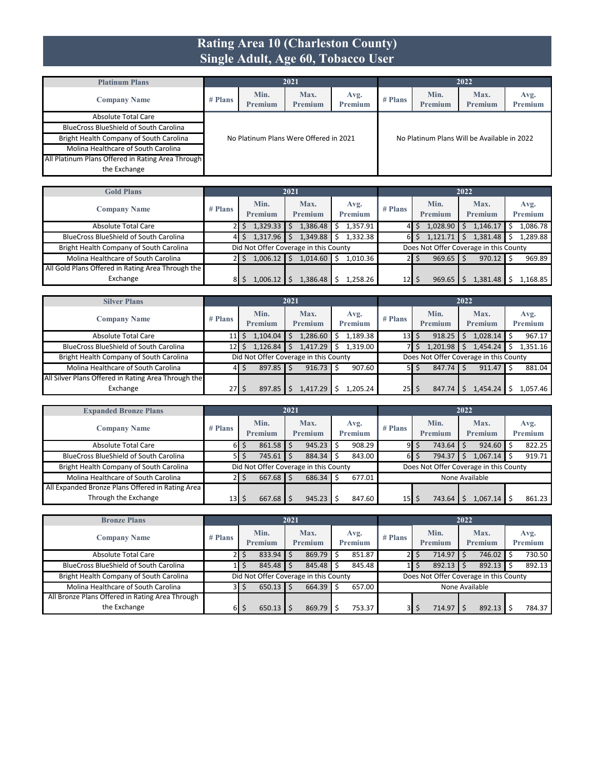#### **Rating Area 10 (Charleston County) Single Adult, Age 60, Tobacco User**

| <b>Platinum Plans</b>                             |         |                 | 2021                                   |                 |           |                                             | 2022                   |                 |
|---------------------------------------------------|---------|-----------------|----------------------------------------|-----------------|-----------|---------------------------------------------|------------------------|-----------------|
| <b>Company Name</b>                               | # Plans | Min.<br>Premium | Max.<br>Premium                        | Avg.<br>Premium | $#$ Plans | Min.<br><b>Premium</b>                      | Max.<br><b>Premium</b> | Avg.<br>Premium |
| Absolute Total Care                               |         |                 |                                        |                 |           |                                             |                        |                 |
| <b>BlueCross BlueShield of South Carolina</b>     |         |                 |                                        |                 |           |                                             |                        |                 |
| Bright Health Company of South Carolina           |         |                 | No Platinum Plans Were Offered in 2021 |                 |           | No Platinum Plans Will be Available in 2022 |                        |                 |
| Molina Healthcare of South Carolina               |         |                 |                                        |                 |           |                                             |                        |                 |
| All Platinum Plans Offered in Rating Area Through |         |                 |                                        |                 |           |                                             |                        |                 |
| the Exchange                                      |         |                 |                                        |                 |           |                                             |                        |                 |

| <b>Gold Plans</b>                                 |           |                                       | 2021                   |                        |                 |                        | 2022                                   |                 |
|---------------------------------------------------|-----------|---------------------------------------|------------------------|------------------------|-----------------|------------------------|----------------------------------------|-----------------|
| <b>Company Name</b>                               | $#$ Plans | Min.<br>Premium                       | Max.<br><b>Premium</b> | Avg.<br><b>Premium</b> | $#$ Plans       | Min.<br><b>Premium</b> | Max.<br>Premium                        | Avg.<br>Premium |
| Absolute Total Care                               |           | 1,329.33                              | 1,386.48               | 1.357.91<br>S          |                 | 1,028.90               | 1,146.17                               | 1,086.78        |
| <b>BlueCross BlueShield of South Carolina</b>     | 41        | 1,317.96                              | 1,349.88               | 1.332.38               | 61              | 1,121.71               | 1,381.48                               | 1.289.88        |
| Bright Health Company of South Carolina           |           | Did Not Offer Coverage in this County |                        |                        |                 |                        | Does Not Offer Coverage in this County |                 |
| Molina Healthcare of South Carolina               |           | 1,006.12                              | 1,014.60               | 1,010.36               |                 | $969.65$ \$<br>S       | $970.12$ \$                            | 969.89          |
| All Gold Plans Offered in Rating Area Through the |           |                                       |                        |                        |                 |                        |                                        |                 |
| Exchange                                          | 81        | 1.006.12                              | 1.386.48               | 1,258.26               | 12 <sub>l</sub> | 969.65                 | 1,381.48                               | 1,168.85        |

| <b>Silver Plans</b>                                 |           |                 | 2021                                  |                        | 2022                             |                   |                                        |                 |  |  |  |
|-----------------------------------------------------|-----------|-----------------|---------------------------------------|------------------------|----------------------------------|-------------------|----------------------------------------|-----------------|--|--|--|
| <b>Company Name</b>                                 | $#$ Plans | Min.<br>Premium | Max.<br><b>Premium</b>                | Avg.<br><b>Premium</b> | $#$ Plans                        | Min.<br>Premium   | Max.<br><b>Premium</b>                 | Avg.<br>Premium |  |  |  |
| <b>Absolute Total Care</b>                          | 11V       | 1,104.04        | 1,286.60                              | 1,189.38<br>Ś          | 13 <sup>1</sup>                  | 918.25<br>Ś       | 1,028.14                               | 967.17          |  |  |  |
| <b>BlueCross BlueShield of South Carolina</b>       | 12        | 1,126.84        | 1,417.29                              | 1.319.00               |                                  | 1,201.98          | 1,454.24                               | .351.16         |  |  |  |
| Bright Health Company of South Carolina             |           |                 | Did Not Offer Coverage in this County |                        |                                  |                   | Does Not Offer Coverage in this County |                 |  |  |  |
| Molina Healthcare of South Carolina                 | 41        | $897.85$ \$     | 916.73                                | 907.60                 |                                  | 847.74<br>$51$ \$ | $911.47$ S                             | 881.04          |  |  |  |
| All Silver Plans Offered in Rating Area Through the |           |                 |                                       |                        |                                  |                   |                                        |                 |  |  |  |
| Exchange                                            | $27$ S    | 897.85          | .417.29                               | L.205.24               | $25$ $\overline{\phantom{1}}$ \$ | 847.74            | L,454.24                               | 1.057.46        |  |  |  |

| <b>Expanded Bronze Plans</b>                     |                 |                 |             | 2021 |                                       |   |                 |                 |                |                 | 2022 |                                        |                 |
|--------------------------------------------------|-----------------|-----------------|-------------|------|---------------------------------------|---|-----------------|-----------------|----------------|-----------------|------|----------------------------------------|-----------------|
| <b>Company Name</b>                              | $#$ Plans       | Min.<br>Premium |             |      | Max.<br>Premium                       |   | Avg.<br>Premium | $#$ Plans       |                | Min.<br>Premium |      | Max.<br>Premium                        | Avg.<br>Premium |
| Absolute Total Care                              | 61              |                 | $861.58$ \$ |      | 945.23                                | Ŝ | 908.29          | 9               | Ś              | 743.64          |      | 924.60                                 | 822.25          |
| <b>BlueCross BlueShield of South Carolina</b>    | 51              |                 | $745.61$ \$ |      | 884.34                                |   | 843.00          | 61              | \$             | 794.37          |      | 1,067.14                               | 919.71          |
| Bright Health Company of South Carolina          |                 |                 |             |      | Did Not Offer Coverage in this County |   |                 |                 |                |                 |      | Does Not Offer Coverage in this County |                 |
| Molina Healthcare of South Carolina              |                 |                 | $667.68$ \$ |      | 686.34                                |   | 677.01          |                 | None Available |                 |      |                                        |                 |
| All Expanded Bronze Plans Offered in Rating Area |                 |                 |             |      |                                       |   |                 |                 |                |                 |      |                                        |                 |
| Through the Exchange                             | 13 <sup>1</sup> |                 | $667.68$ S  |      | 945.23                                |   | 847.60          | 15 <sub>1</sub> |                | 743.64          |      | 1.067.14                               | 861.23          |

| <b>Bronze Plans</b>                             |           |   |                                       | 2021 |                        |   |                        |         |       |                 | 2022 |                                        |                 |
|-------------------------------------------------|-----------|---|---------------------------------------|------|------------------------|---|------------------------|---------|-------|-----------------|------|----------------------------------------|-----------------|
| <b>Company Name</b>                             | $#$ Plans |   | Min.<br>Premium                       |      | Max.<br><b>Premium</b> |   | Avg.<br><b>Premium</b> | # Plans |       | Min.<br>Premium |      | Max.<br>Premium                        | Avg.<br>Premium |
| <b>Absolute Total Care</b>                      | 21        | S | $833.94$ \ \$                         |      | 869.79                 | Ŝ | 851.87                 |         | 2 I S | 714.97          |      | 746.02                                 | 730.50          |
| <b>BlueCross BlueShield of South Carolina</b>   |           |   | $845.48$ \$                           |      | 845.48                 |   | 845.48                 |         |       | 892.13          |      | $892.13$ \$                            | 892.13          |
| Bright Health Company of South Carolina         |           |   | Did Not Offer Coverage in this County |      |                        |   |                        |         |       |                 |      | Does Not Offer Coverage in this County |                 |
| Molina Healthcare of South Carolina             | 3I        | 5 | 650.13                                |      | 664.39                 |   | 657.00                 |         |       |                 |      | None Available                         |                 |
| All Bronze Plans Offered in Rating Area Through |           |   |                                       |      |                        |   |                        |         |       |                 |      |                                        |                 |
| the Exchange                                    | 61        |   | 650.13                                |      | 869.79                 |   | 753.37                 | 3I      | S     | 714.97          |      | $892.13$ S                             | 784.37          |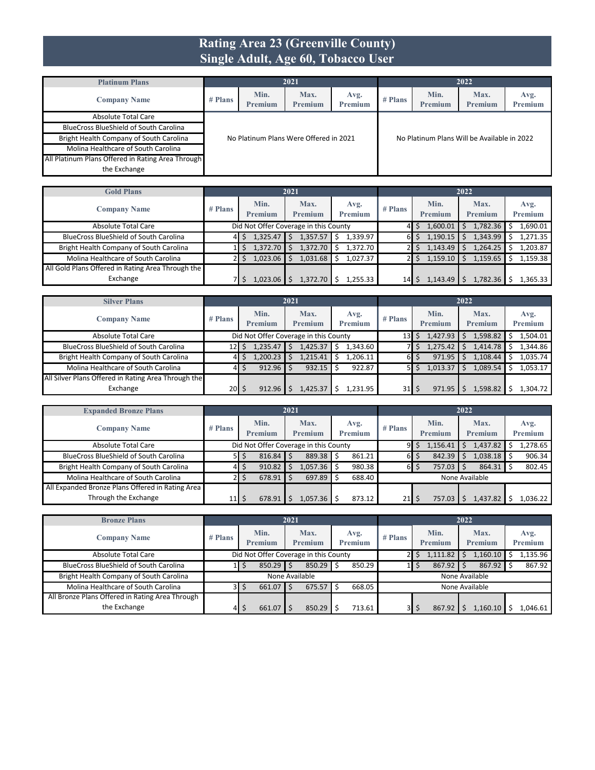#### **Rating Area 23 (Greenville County) Single Adult, Age 60, Tobacco User**

| <b>Platinum Plans</b>                             |         |                 | 2021                                   |                 |           |                                             | 2022            |                 |
|---------------------------------------------------|---------|-----------------|----------------------------------------|-----------------|-----------|---------------------------------------------|-----------------|-----------------|
| <b>Company Name</b>                               | # Plans | Min.<br>Premium | Max.<br>Premium                        | Avg.<br>Premium | $#$ Plans | Min.<br><b>Premium</b>                      | Max.<br>Premium | Avg.<br>Premium |
| Absolute Total Care                               |         |                 |                                        |                 |           |                                             |                 |                 |
| <b>BlueCross BlueShield of South Carolina</b>     |         |                 |                                        |                 |           |                                             |                 |                 |
| Bright Health Company of South Carolina           |         |                 | No Platinum Plans Were Offered in 2021 |                 |           | No Platinum Plans Will be Available in 2022 |                 |                 |
| Molina Healthcare of South Carolina               |         |                 |                                        |                 |           |                                             |                 |                 |
| All Platinum Plans Offered in Rating Area Through |         |                 |                                        |                 |           |                                             |                 |                 |
| the Exchange                                      |         |                 |                                        |                 |           |                                             |                 |                 |

| <b>Gold Plans</b>                                 |           |                 | 2021                                  |                        |                 |                        | 2022            |                 |
|---------------------------------------------------|-----------|-----------------|---------------------------------------|------------------------|-----------------|------------------------|-----------------|-----------------|
| <b>Company Name</b>                               | $#$ Plans | Min.<br>Premium | Max.<br><b>Premium</b>                | Avg.<br><b>Premium</b> | $#$ Plans       | Min.<br><b>Premium</b> | Max.<br>Premium | Avg.<br>Premium |
| Absolute Total Care                               |           |                 | Did Not Offer Coverage in this County |                        |                 | 1,600.01               | 1,782.36        | 1,690.01        |
| <b>BlueCross BlueShield of South Carolina</b>     | 41        | 1,325.47        | 1,357.57                              | 1,339.97<br>Ŝ          | 61              | 1,190.15               | 1,343.99        | 1,271.35        |
| Bright Health Company of South Carolina           |           | 1.372.70        | 1,372.70                              | 1.372.70<br>Ŝ          |                 | 1,143.49               | 1,264.25        | 1.203.87        |
| Molina Healthcare of South Carolina               |           | 1,023.06        | 1,031.68                              | 1.027.37               |                 | 1,159.10               | 1,159.65        | 1.159.38        |
| All Gold Plans Offered in Rating Area Through the |           |                 |                                       |                        |                 |                        |                 |                 |
| Exchange                                          |           | 1,023.06        | 1.372.70                              | 1.255.33               | 14 <sub>1</sub> | 1.143.49               | 1,782.36        | .365.33         |

| <b>Silver Plans</b>                                 |                               |                        | 2021                                  |                        |           |                        | 2022                   |                        |
|-----------------------------------------------------|-------------------------------|------------------------|---------------------------------------|------------------------|-----------|------------------------|------------------------|------------------------|
| <b>Company Name</b>                                 | $#$ Plans                     | Min.<br><b>Premium</b> | Max.<br><b>Premium</b>                | Avg.<br><b>Premium</b> | $#$ Plans | Min.<br><b>Premium</b> | Max.<br><b>Premium</b> | Avg.<br><b>Premium</b> |
| Absolute Total Care                                 |                               |                        | Did Not Offer Coverage in this County |                        | 131       | 1,427.93<br>S          | 1,598.82               | 1,504.01               |
| <b>BlueCross BlueShield of South Carolina</b>       | 12 <sup>1</sup>               | 1,235.47               | 1,425.37                              | 1,343.60               |           | 1,275.42<br>S          | 1,414.78               | .344.86                |
| Bright Health Company of South Carolina             | 41                            | 1,200.23               | 1,215.41                              | 1,206.11               | 61        | 971.95<br>S            | 1,108.44               | 1,035.74               |
| Molina Healthcare of South Carolina                 | 41                            | 912.96                 | 932.15                                | 922.87                 |           | 1,013.37<br>Ŝ.         | 1,089.54               | 1,053.17               |
| All Silver Plans Offered in Rating Area Through the |                               |                        |                                       |                        |           |                        |                        |                        |
| Exchange                                            | $20$ $\overline{\phantom{0}}$ | 912.96                 | 1,425.37                              | 1,231.95               | 31        | 971.95                 | 1,598.82               | .304.72                |

| <b>Expanded Bronze Plans</b>                     |                 |             | 2021 |                                       |                |           |   |                | 2022 |                |                |
|--------------------------------------------------|-----------------|-------------|------|---------------------------------------|----------------|-----------|---|----------------|------|----------------|----------------|
| <b>Company Name</b>                              | $#$ Plans       | Min.        |      | Max.                                  | Avg.           | $#$ Plans |   | Min.           |      | Max.           | Avg.           |
|                                                  |                 | Premium     |      | <b>Premium</b>                        | <b>Premium</b> |           |   | <b>Premium</b> |      | <b>Premium</b> | <b>Premium</b> |
| Absolute Total Care                              |                 |             |      | Did Not Offer Coverage in this County |                | 91        |   | 1,156.41       |      | 1,437.82       | 1,278.65       |
| <b>BlueCross BlueShield of South Carolina</b>    | 51              | $816.84$ \$ |      | 889.38                                | 861.21         | 6 I       | S | 842.39         |      | 1,038.18 \$    | 906.34         |
| Bright Health Company of South Carolina          | 41              | 910.82      |      | .057.36                               | 980.38         | 6I        |   | 757.03         |      | $864.31$ \$    | 802.45         |
| Molina Healthcare of South Carolina              |                 | $678.91$ \$ |      | 697.89                                | 688.40         |           |   |                |      | None Available |                |
| All Expanded Bronze Plans Offered in Rating Area |                 |             |      |                                       |                |           |   |                |      |                |                |
| Through the Exchange                             | 11 <sub>l</sub> | 678.91      |      | 057.36 <b>I</b>                       | 873.12         | 21        | Ś | 757.03         |      | 1,437.82       | 1.036.22       |

| <b>Bronze Plans</b>                             |           |                 | 2021                                  |   |                        |         |                 | 2022 |                 |                 |
|-------------------------------------------------|-----------|-----------------|---------------------------------------|---|------------------------|---------|-----------------|------|-----------------|-----------------|
| <b>Company Name</b>                             | $#$ Plans | Min.<br>Premium | Max.<br><b>Premium</b>                |   | Avg.<br><b>Premium</b> | # Plans | Min.<br>Premium |      | Max.<br>Premium | Avg.<br>Premium |
| <b>Absolute Total Care</b>                      |           |                 | Did Not Offer Coverage in this County |   |                        |         | 1,111.82        |      | 1.160.10        | .135.96         |
| <b>BlueCross BlueShield of South Carolina</b>   |           | 850.29          | 850.29                                |   | 850.29                 |         | 867.92          |      | 867.92          | 867.92          |
| Bright Health Company of South Carolina         |           |                 | None Available                        |   |                        |         |                 |      | None Available  |                 |
| Molina Healthcare of South Carolina             | 3I        | 661.07          | 675.57                                | Ŝ | 668.05                 |         |                 |      | None Available  |                 |
| All Bronze Plans Offered in Rating Area Through |           |                 |                                       |   |                        |         |                 |      |                 |                 |
| the Exchange                                    | 41        | 661.07          | 850.29                                |   | 713.61                 | 3I      | \$<br>867.92    |      | L.160.10        | 1,046.61        |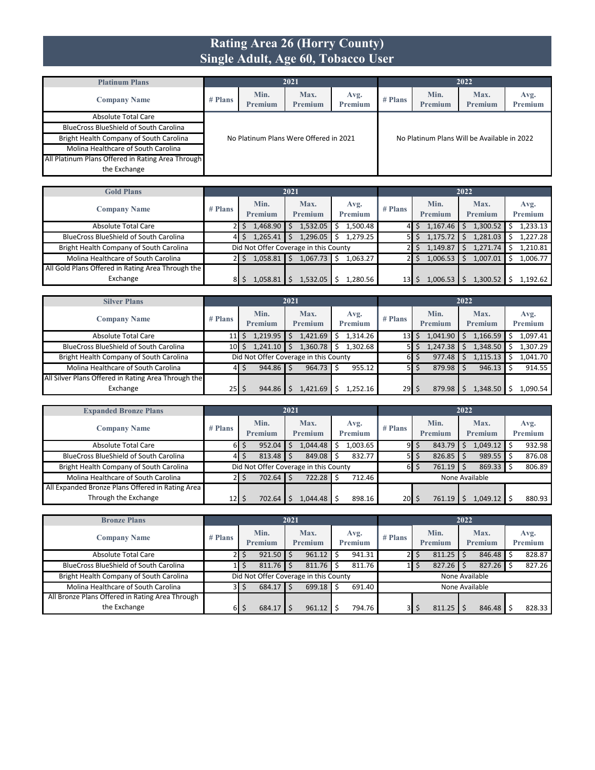### **Rating Area 26 (Horry County) Single Adult, Age 60, Tobacco User**

| <b>Platinum Plans</b>                             |         |                        | 2021                                   |                 |           |                                             | 2022            |                 |
|---------------------------------------------------|---------|------------------------|----------------------------------------|-----------------|-----------|---------------------------------------------|-----------------|-----------------|
| <b>Company Name</b>                               | # Plans | Min.<br><b>Premium</b> | Max.<br>Premium                        | Avg.<br>Premium | $#$ Plans | Min.<br><b>Premium</b>                      | Max.<br>Premium | Avg.<br>Premium |
| Absolute Total Care                               |         |                        |                                        |                 |           |                                             |                 |                 |
| <b>BlueCross BlueShield of South Carolina</b>     |         |                        |                                        |                 |           |                                             |                 |                 |
| Bright Health Company of South Carolina           |         |                        | No Platinum Plans Were Offered in 2021 |                 |           | No Platinum Plans Will be Available in 2022 |                 |                 |
| Molina Healthcare of South Carolina               |         |                        |                                        |                 |           |                                             |                 |                 |
| All Platinum Plans Offered in Rating Area Through |         |                        |                                        |                 |           |                                             |                 |                 |
| the Exchange                                      |         |                        |                                        |                 |           |                                             |                 |                 |

| <b>Gold Plans</b>                                 |           |                                       | 2021            |                        |           |                        | 2022            |                 |
|---------------------------------------------------|-----------|---------------------------------------|-----------------|------------------------|-----------|------------------------|-----------------|-----------------|
| <b>Company Name</b>                               | $#$ Plans | Min.<br>Premium                       | Max.<br>Premium | Avg.<br><b>Premium</b> | $#$ Plans | Min.<br><b>Premium</b> | Max.<br>Premium | Avg.<br>Premium |
| Absolute Total Care                               |           | 1,468.90                              | 1,532.05        | 1,500.48<br>Ŝ.         |           | $1,167.46$ \$          | 1,300.52        | 1,233.13        |
| <b>BlueCross BlueShield of South Carolina</b>     | 41        | 1,265.41                              | 1,296.05        | 1.279.25<br>s          |           | 1,175.72               | 1,281.03        | 1.227.28        |
| Bright Health Company of South Carolina           |           | Did Not Offer Coverage in this County |                 |                        |           | 1,149.87               | 1,271.74        | 1,210.81        |
| Molina Healthcare of South Carolina               |           | 1.058.81                              | 1.067.73        | 1.063.27<br>Ś          |           | 1,006.53               | 1,007.01        | 1.006.77        |
| All Gold Plans Offered in Rating Area Through the |           |                                       |                 |                        |           |                        |                 |                 |
| Exchange                                          | 81        | 1,058.81                              | .532.05         | 1.280.56               | 13        | 1,006.53               | 1,300.52        | 1.192.62        |

| <b>Silver Plans</b>                                 |           |                                       | 2021            |                        | 2022      |                        |                        |                        |  |  |
|-----------------------------------------------------|-----------|---------------------------------------|-----------------|------------------------|-----------|------------------------|------------------------|------------------------|--|--|
| <b>Company Name</b>                                 | # Plans   | Min.<br>Premium                       | Max.<br>Premium | Avg.<br><b>Premium</b> | $#$ Plans | Min.<br><b>Premium</b> | Max.<br><b>Premium</b> | Avg.<br><b>Premium</b> |  |  |
| <b>Absolute Total Care</b>                          | 11 I      | 1,219.95                              | 1,421.69        | 1.314.26<br>Ŝ          | 13        | 1,041.90               | 1,166.59               | L,097.41               |  |  |
| <b>BlueCross BlueShield of South Carolina</b>       | 10 I      | 1,241.10                              | 1,360.78        | 1.302.68               |           | 1,247.38               | 1,348.50               | .307.29                |  |  |
| Bright Health Company of South Carolina             |           | Did Not Offer Coverage in this County |                 |                        | 61        | 977.48<br>Ś            | 1,115.13               | L.041.70               |  |  |
| Molina Healthcare of South Carolina                 | 41        | $944.86$ \$                           | 964.73          | 955.12                 | 51        | 879.98<br>Ś            | $946.13$ \$            | 914.55                 |  |  |
| All Silver Plans Offered in Rating Area Through the |           |                                       |                 |                        |           |                        |                        |                        |  |  |
| Exchange                                            | $25$   \$ | 944.86                                | L,421.69        | 1.252.16               | 29        | 879.98<br>S            | 1,348.50               | L.090.54               |  |  |

| <b>Expanded Bronze Plans</b>                     |           |                                       | 2021                   |                 | 2022      |                 |                 |                 |  |  |
|--------------------------------------------------|-----------|---------------------------------------|------------------------|-----------------|-----------|-----------------|-----------------|-----------------|--|--|
| <b>Company Name</b>                              | $#$ Plans | Min.<br>Premium                       | Max.<br><b>Premium</b> | Avg.<br>Premium | $#$ Plans | Min.<br>Premium | Max.<br>Premium | Avg.<br>Premium |  |  |
| Absolute Total Care                              | 61        | 952.04<br>5                           | .044.48                | 1.003.65        | 9         | \$<br>843.79    | $1,049.12$ \$   | 932.98          |  |  |
| <b>BlueCross BlueShield of South Carolina</b>    | 41        | $813.48$ \$                           | 849.08                 | 832.77<br>Ŝ     | 51        | 826.85<br>S     | $989.55$ \$     | 876.08          |  |  |
| Bright Health Company of South Carolina          |           | Did Not Offer Coverage in this County |                        |                 | 6         | 761.19<br>\$    | $869.33$ \$     | 806.89          |  |  |
| Molina Healthcare of South Carolina              |           | $702.64$ \$                           | 722.28                 | 712.46          |           |                 | None Available  |                 |  |  |
| All Expanded Bronze Plans Offered in Rating Area |           |                                       |                        |                 |           |                 |                 |                 |  |  |
| Through the Exchange                             | 12        | 702.64                                | .044.48                | 898.16          | $20$ S    | 761.19          | 1.049.12        | 880.93          |  |  |

| <b>Bronze Plans</b>                             |         |   |                 | 2021 |                                       |    |                        | 2022      |  |                 |  |                        |  |                 |
|-------------------------------------------------|---------|---|-----------------|------|---------------------------------------|----|------------------------|-----------|--|-----------------|--|------------------------|--|-----------------|
| <b>Company Name</b>                             | # Plans |   | Min.<br>Premium |      | Max.<br><b>Premium</b>                |    | Avg.<br><b>Premium</b> | $#$ Plans |  | Min.<br>Premium |  | Max.<br><b>Premium</b> |  | Avg.<br>Premium |
| <b>Absolute Total Care</b>                      | 21      |   | $921.50$ \$     |      | 961.12                                | Ŝ  | 941.31                 |           |  | 811.25          |  | 846.48                 |  | 828.87          |
| <b>BlueCross BlueShield of South Carolina</b>   |         |   | $811.76$ \$     |      | 811.76                                | -Ś | 811.76                 |           |  | 827.26          |  | 827.26                 |  | 827.26          |
| Bright Health Company of South Carolina         |         |   |                 |      | Did Not Offer Coverage in this County |    |                        |           |  | None Available  |  |                        |  |                 |
| Molina Healthcare of South Carolina             | 3I      | S | $684.17$ \$     |      | $699.18$ S                            |    | 691.40                 |           |  | None Available  |  |                        |  |                 |
| All Bronze Plans Offered in Rating Area Through |         |   |                 |      |                                       |    |                        |           |  |                 |  |                        |  |                 |
| the Exchange                                    | 6I      |   | 684.17          |      | 961.12                                |    | 794.76                 |           |  | 811.25          |  | 846.48                 |  | 828.33          |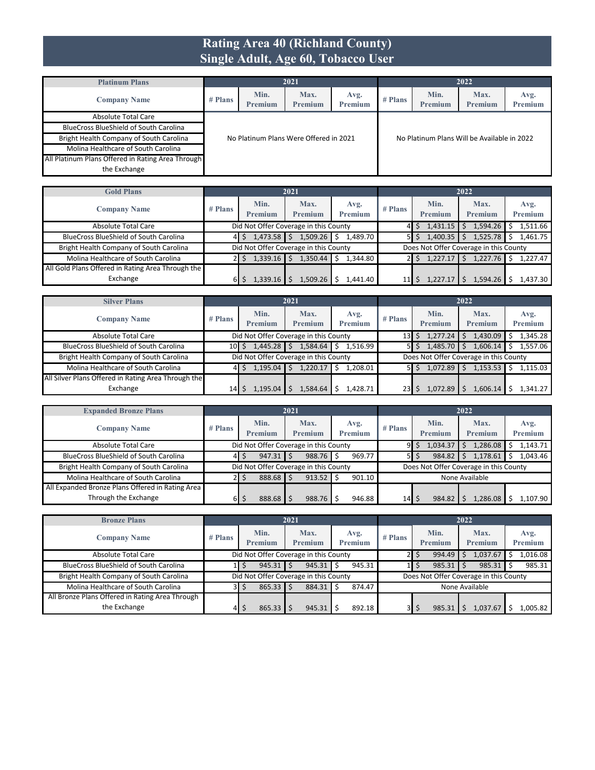### **Rating Area 40 (Richland County) Single Adult, Age 60, Tobacco User**

| <b>Platinum Plans</b>                             | 2021    |                        |                                        |                        |                                             | 2022            |                 |                 |  |  |  |
|---------------------------------------------------|---------|------------------------|----------------------------------------|------------------------|---------------------------------------------|-----------------|-----------------|-----------------|--|--|--|
| <b>Company Name</b>                               | # Plans | Min.<br><b>Premium</b> | Max.<br>Premium                        | Avg.<br><b>Premium</b> | # Plans                                     | Min.<br>Premium | Max.<br>Premium | Avg.<br>Premium |  |  |  |
| Absolute Total Care                               |         |                        |                                        |                        |                                             |                 |                 |                 |  |  |  |
| <b>BlueCross BlueShield of South Carolina</b>     |         |                        |                                        |                        |                                             |                 |                 |                 |  |  |  |
| Bright Health Company of South Carolina           |         |                        | No Platinum Plans Were Offered in 2021 |                        | No Platinum Plans Will be Available in 2022 |                 |                 |                 |  |  |  |
| Molina Healthcare of South Carolina               |         |                        |                                        |                        |                                             |                 |                 |                 |  |  |  |
| All Platinum Plans Offered in Rating Area Through |         |                        |                                        |                        |                                             |                 |                 |                 |  |  |  |
| the Exchange                                      |         |                        |                                        |                        |                                             |                 |                 |                 |  |  |  |

| <b>Gold Plans</b>                                 | 2021      |                                       |                        |                        |           | 2022                   |                                        |                 |  |  |  |
|---------------------------------------------------|-----------|---------------------------------------|------------------------|------------------------|-----------|------------------------|----------------------------------------|-----------------|--|--|--|
| <b>Company Name</b>                               | $#$ Plans | Min.<br>Premium                       | Max.<br><b>Premium</b> | Avg.<br><b>Premium</b> | $#$ Plans | Min.<br><b>Premium</b> | Max.<br>Premium                        | Avg.<br>Premium |  |  |  |
| Absolute Total Care                               |           | Did Not Offer Coverage in this County |                        |                        |           | $1,431.15$ \$          | 1,594.26                               | 1,511.66        |  |  |  |
| <b>BlueCross BlueShield of South Carolina</b>     | 41        | 1,473.58                              | 1,509.26               | Ŝ.<br>1.489.70         |           | 1,400.35               | 1,525.78                               | 1.461.75        |  |  |  |
| Bright Health Company of South Carolina           |           | Did Not Offer Coverage in this County |                        |                        |           |                        | Does Not Offer Coverage in this County |                 |  |  |  |
| Molina Healthcare of South Carolina               |           | 1.339.16                              | 1.350.44               | 1.344.80               |           | 1.227.17               | 1,227.76                               | 1.227.47        |  |  |  |
| All Gold Plans Offered in Rating Area Through the |           |                                       |                        |                        |           |                        |                                        |                 |  |  |  |
| Exchange                                          | ы         | 1.339.16                              | 1.509.26               | 1.441.40               |           | 1.227.1                | 1.594.26                               | 1.437.30        |  |  |  |

| <b>Silver Plans</b>                                 | 2021                                  |                                       |                        |                        |                 | 2022                                   |                        |                 |  |  |  |
|-----------------------------------------------------|---------------------------------------|---------------------------------------|------------------------|------------------------|-----------------|----------------------------------------|------------------------|-----------------|--|--|--|
| <b>Company Name</b>                                 | $#$ Plans                             | Min.<br>Premium                       | Max.<br><b>Premium</b> | Avg.<br><b>Premium</b> | $#$ Plans       | Min.<br>Premium                        | Max.<br><b>Premium</b> | Avg.<br>Premium |  |  |  |
| <b>Absolute Total Care</b>                          | Did Not Offer Coverage in this County |                                       |                        |                        | 13 <sup>1</sup> | 1,277.24                               | 1,430.09               | 1,345.28        |  |  |  |
| <b>BlueCross BlueShield of South Carolina</b>       | 10 S                                  | 1,445.28                              | 1,584.64               | 1.516.99               |                 | 1,485.70<br>5 I \$                     | 1,606.14               | 1.557.06        |  |  |  |
| Bright Health Company of South Carolina             |                                       | Did Not Offer Coverage in this County |                        |                        |                 | Does Not Offer Coverage in this County |                        |                 |  |  |  |
| Molina Healthcare of South Carolina                 | 41                                    | 1.195.04                              | 1,220.17               | 1.208.01<br>\$         |                 | 1,072.89<br>5 I S                      | 1,153.53               | 1.115.03        |  |  |  |
| All Silver Plans Offered in Rating Area Through the |                                       |                                       |                        |                        |                 |                                        |                        |                 |  |  |  |
| Exchange                                            | 14 I                                  | l.195.04                              | L.584.64               | 1,428.71               | 23              | 1.072.89                               | 1,606.14               | .341.27         |  |  |  |

| <b>Expanded Bronze Plans</b>                     |           |                 | 2021                                  |                 | 2022            |                 |                                        |                 |  |  |
|--------------------------------------------------|-----------|-----------------|---------------------------------------|-----------------|-----------------|-----------------|----------------------------------------|-----------------|--|--|
| <b>Company Name</b>                              | $#$ Plans | Min.<br>Premium | Max.<br>Premium                       | Avg.<br>Premium | $#$ Plans       | Min.<br>Premium | Max.<br>Premium                        | Avg.<br>Premium |  |  |
| Absolute Total Care                              |           |                 | Did Not Offer Coverage in this County |                 | 91              | 1,034.37<br>Ś   | 1,286.08                               | 1.143.71        |  |  |
| <b>BlueCross BlueShield of South Carolina</b>    | 41        | $947.31$ \$     | 988.76                                | 969.77<br>Ŝ     | 51              | 984.82<br>S     | 1,178.61                               | 1,043.46        |  |  |
| Bright Health Company of South Carolina          |           |                 | Did Not Offer Coverage in this County |                 |                 |                 | Does Not Offer Coverage in this County |                 |  |  |
| Molina Healthcare of South Carolina              |           | 888.68 \$       | 913.52                                | 901.10          | None Available  |                 |                                        |                 |  |  |
| All Expanded Bronze Plans Offered in Rating Area |           |                 |                                       |                 |                 |                 |                                        |                 |  |  |
| Through the Exchange                             | ы         | 888.68 \$       | 988.76                                | 946.88          | 14 <sup>1</sup> | 984.82<br>S     | 1.286.08                               | 1.107.90        |  |  |

| <b>Bronze Plans</b>                             |           |                                                             | 2021                                  |                        | 2022      |                 |                                        |                 |  |  |
|-------------------------------------------------|-----------|-------------------------------------------------------------|---------------------------------------|------------------------|-----------|-----------------|----------------------------------------|-----------------|--|--|
| <b>Company Name</b>                             | $#$ Plans | Min.<br>Premium                                             | Max.<br><b>Premium</b>                | Avg.<br><b>Premium</b> | $#$ Plans | Min.<br>Premium | Max.<br>Premium                        | Avg.<br>Premium |  |  |
| <b>Absolute Total Care</b>                      |           | Did Not Offer Coverage in this County<br>1,037.67<br>994.49 |                                       |                        |           |                 | 1,016.08                               |                 |  |  |
| <b>BlueCross BlueShield of South Carolina</b>   |           | $945.31$ $\frac{1}{5}$                                      | 945.31                                | 945.31                 |           | 985.31          | 985.31                                 | 985.31          |  |  |
| Bright Health Company of South Carolina         |           |                                                             | Did Not Offer Coverage in this County |                        |           |                 | Does Not Offer Coverage in this County |                 |  |  |
| Molina Healthcare of South Carolina             | 3I        | $865.33$ $\frac{1}{5}$                                      | 884.31                                | 874.47                 |           |                 | None Available                         |                 |  |  |
| All Bronze Plans Offered in Rating Area Through |           |                                                             |                                       |                        |           |                 |                                        |                 |  |  |
| the Exchange                                    | 41        | 865.33                                                      | 945.31                                | 892.18                 | 31        | Ś<br>985.31     | 1.037.67                               | .005.82         |  |  |